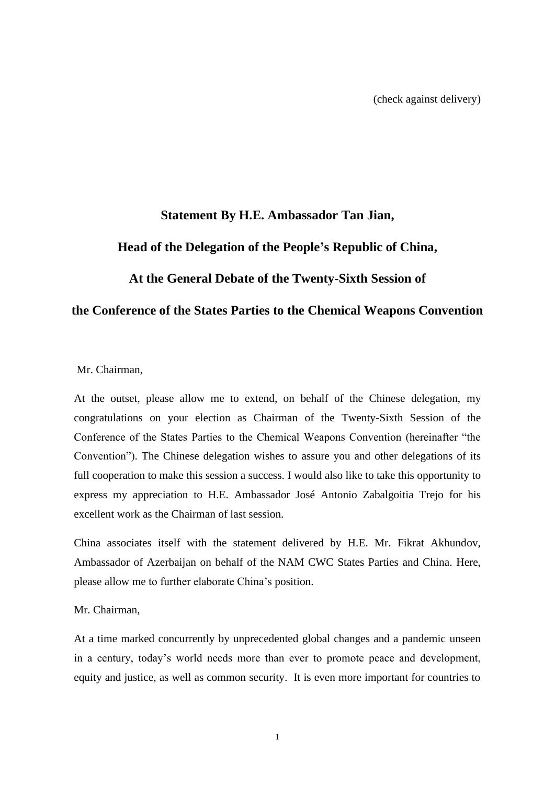## **Statement By H.E. Ambassador Tan Jian,**

## **Head of the Delegation of the People's Republic of China,**

## **At the General Debate of the Twenty-Sixth Session of**

## **the Conference of the States Parties to the Chemical Weapons Convention**

Mr. Chairman,

At the outset, please allow me to extend, on behalf of the Chinese delegation, my congratulations on your election as Chairman of the Twenty-Sixth Session of the Conference of the States Parties to the Chemical Weapons Convention (hereinafter "the Convention"). The Chinese delegation wishes to assure you and other delegations of its full cooperation to make this session a success. I would also like to take this opportunity to express my appreciation to H.E. Ambassador José Antonio Zabalgoitia Trejo for his excellent work as the Chairman of last session.

China associates itself with the statement delivered by H.E. Mr. Fikrat Akhundov, Ambassador of Azerbaijan on behalf of the NAM CWC States Parties and China. Here, please allow me to further elaborate China's position.

#### Mr. Chairman,

At a time marked concurrently by unprecedented global changes and a pandemic unseen in a century, today's world needs more than ever to promote peace and development, equity and justice, as well as common security. It is even more important for countries to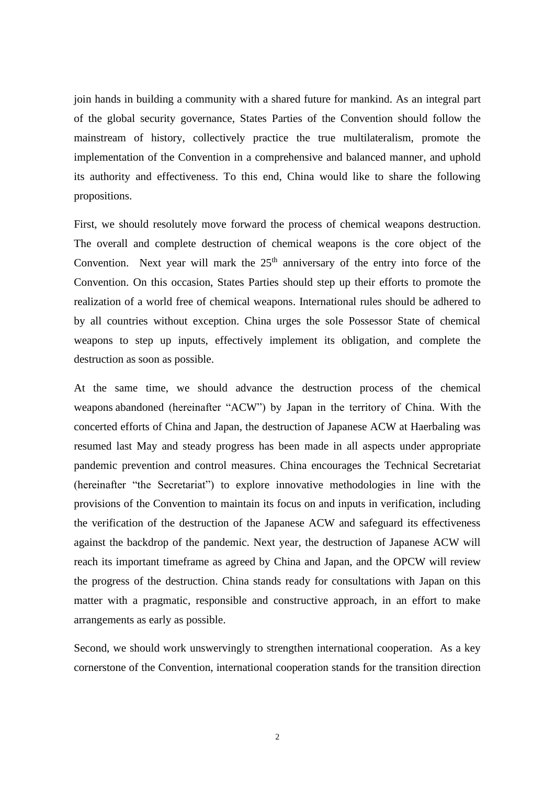join hands in building a community with a shared future for mankind. As an integral part of the global security governance, States Parties of the Convention should follow the mainstream of history, collectively practice the true multilateralism, promote the implementation of the Convention in a comprehensive and balanced manner, and uphold its authority and effectiveness. To this end, China would like to share the following propositions.

First, we should resolutely move forward the process of chemical weapons destruction. The overall and complete destruction of chemical weapons is the core object of the Convention. Next year will mark the  $25<sup>th</sup>$  anniversary of the entry into force of the Convention. On this occasion, States Parties should step up their efforts to promote the realization of a world free of chemical weapons. International rules should be adhered to by all countries without exception. China urges the sole Possessor State of chemical weapons to step up inputs, effectively implement its obligation, and complete the destruction as soon as possible.

At the same time, we should advance the destruction process of the chemical weapons abandoned (hereinafter "ACW") by Japan in the territory of China. With the concerted efforts of China and Japan, the destruction of Japanese ACW at Haerbaling was resumed last May and steady progress has been made in all aspects under appropriate pandemic prevention and control measures. China encourages the Technical Secretariat (hereinafter "the Secretariat") to explore innovative methodologies in line with the provisions of the Convention to maintain its focus on and inputs in verification, including the verification of the destruction of the Japanese ACW and safeguard its effectiveness against the backdrop of the pandemic. Next year, the destruction of Japanese ACW will reach its important timeframe as agreed by China and Japan, and the OPCW will review the progress of the destruction. China stands ready for consultations with Japan on this matter with a pragmatic, responsible and constructive approach, in an effort to make arrangements as early as possible.

Second, we should work unswervingly to strengthen international cooperation. As a key cornerstone of the Convention, international cooperation stands for the transition direction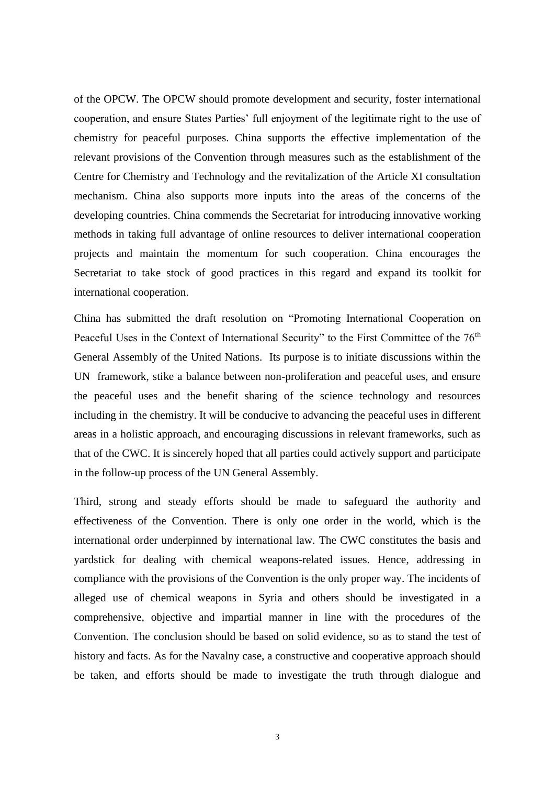of the OPCW. The OPCW should promote development and security, foster international cooperation, and ensure States Parties' full enjoyment of the legitimate right to the use of chemistry for peaceful purposes. China supports the effective implementation of the relevant provisions of the Convention through measures such as the establishment of the Centre for Chemistry and Technology and the revitalization of the Article XI consultation mechanism. China also supports more inputs into the areas of the concerns of the developing countries. China commends the Secretariat for introducing innovative working methods in taking full advantage of online resources to deliver international cooperation projects and maintain the momentum for such cooperation. China encourages the Secretariat to take stock of good practices in this regard and expand its toolkit for international cooperation.

China has submitted the draft resolution on "Promoting International Cooperation on Peaceful Uses in the Context of International Security" to the First Committee of the 76<sup>th</sup> General Assembly of the United Nations. Its purpose is to initiate discussions within the UN framework, stike a balance between non-proliferation and peaceful uses, and ensure the peaceful uses and the benefit sharing of the science technology and resources including in the chemistry. It will be conducive to advancing the peaceful uses in different areas in a holistic approach, and encouraging discussions in relevant frameworks, such as that of the CWC. It is sincerely hoped that all parties could actively support and participate in the follow-up process of the UN General Assembly.

Third, strong and steady efforts should be made to safeguard the authority and effectiveness of the Convention. There is only one order in the world, which is the international order underpinned by international law. The CWC constitutes the basis and yardstick for dealing with chemical weapons-related issues. Hence, addressing in compliance with the provisions of the Convention is the only proper way. The incidents of alleged use of chemical weapons in Syria and others should be investigated in a comprehensive, objective and impartial manner in line with the procedures of the Convention. The conclusion should be based on solid evidence, so as to stand the test of history and facts. As for the Navalny case, a constructive and cooperative approach should be taken, and efforts should be made to investigate the truth through dialogue and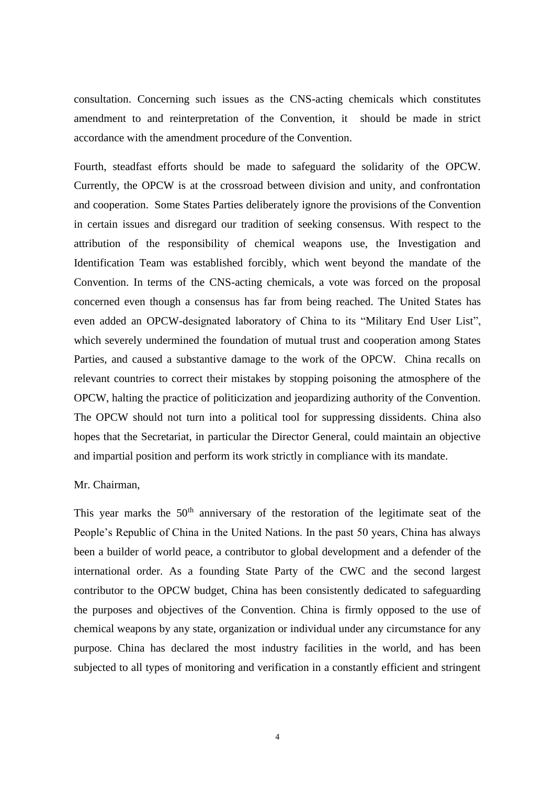consultation. Concerning such issues as the CNS-acting chemicals which constitutes amendment to and reinterpretation of the Convention, it should be made in strict accordance with the amendment procedure of the Convention.

Fourth, steadfast efforts should be made to safeguard the solidarity of the OPCW. Currently, the OPCW is at the crossroad between division and unity, and confrontation and cooperation. Some States Parties deliberately ignore the provisions of the Convention in certain issues and disregard our tradition of seeking consensus. With respect to the attribution of the responsibility of chemical weapons use, the Investigation and Identification Team was established forcibly, which went beyond the mandate of the Convention. In terms of the CNS-acting chemicals, a vote was forced on the proposal concerned even though a consensus has far from being reached. The United States has even added an OPCW-designated laboratory of China to its "Military End User List", which severely undermined the foundation of mutual trust and cooperation among States Parties, and caused a substantive damage to the work of the OPCW. China recalls on relevant countries to correct their mistakes by stopping poisoning the atmosphere of the OPCW, halting the practice of politicization and jeopardizing authority of the Convention. The OPCW should not turn into a political tool for suppressing dissidents. China also hopes that the Secretariat, in particular the Director General, could maintain an objective and impartial position and perform its work strictly in compliance with its mandate.

#### Mr. Chairman,

This year marks the  $50<sup>th</sup>$  anniversary of the restoration of the legitimate seat of the People's Republic of China in the United Nations. In the past 50 years, China has always been a builder of world peace, a contributor to global development and a defender of the international order. As a founding State Party of the CWC and the second largest contributor to the OPCW budget, China has been consistently dedicated to safeguarding the purposes and objectives of the Convention. China is firmly opposed to the use of chemical weapons by any state, organization or individual under any circumstance for any purpose. China has declared the most industry facilities in the world, and has been subjected to all types of monitoring and verification in a constantly efficient and stringent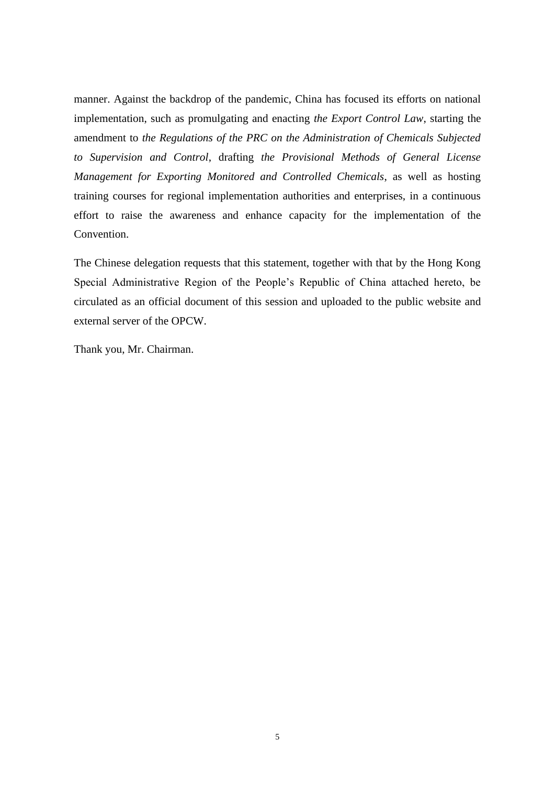manner. Against the backdrop of the pandemic, China has focused its efforts on national implementation, such as promulgating and enacting *the Export Control Law*, starting the amendment to *the Regulations of the PRC on the Administration of Chemicals Subjected to Supervision and Control*, drafting *the Provisional Methods of General License Management for Exporting Monitored and Controlled Chemicals*, as well as hosting training courses for regional implementation authorities and enterprises, in a continuous effort to raise the awareness and enhance capacity for the implementation of the Convention.

The Chinese delegation requests that this statement, together with that by the Hong Kong Special Administrative Region of the People's Republic of China attached hereto, be circulated as an official document of this session and uploaded to the public website and external server of the OPCW.

Thank you, Mr. Chairman.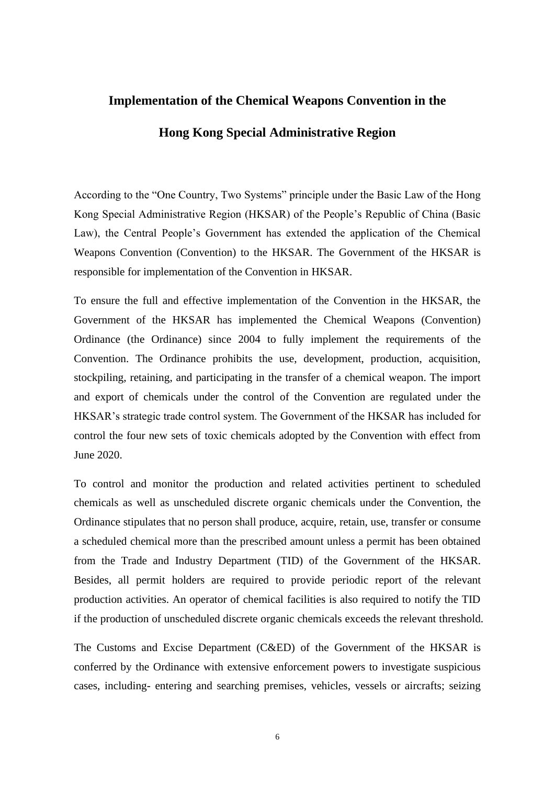# **Implementation of the Chemical Weapons Convention in the Hong Kong Special Administrative Region**

According to the "One Country, Two Systems" principle under the Basic Law of the Hong Kong Special Administrative Region (HKSAR) of the People's Republic of China (Basic Law), the Central People's Government has extended the application of the Chemical Weapons Convention (Convention) to the HKSAR. The Government of the HKSAR is responsible for implementation of the Convention in HKSAR.

To ensure the full and effective implementation of the Convention in the HKSAR, the Government of the HKSAR has implemented the Chemical Weapons (Convention) Ordinance (the Ordinance) since 2004 to fully implement the requirements of the Convention. The Ordinance prohibits the use, development, production, acquisition, stockpiling, retaining, and participating in the transfer of a chemical weapon. The import and export of chemicals under the control of the Convention are regulated under the HKSAR's strategic trade control system. The Government of the HKSAR has included for control the four new sets of toxic chemicals adopted by the Convention with effect from June 2020.

To control and monitor the production and related activities pertinent to scheduled chemicals as well as unscheduled discrete organic chemicals under the Convention, the Ordinance stipulates that no person shall produce, acquire, retain, use, transfer or consume a scheduled chemical more than the prescribed amount unless a permit has been obtained from the Trade and Industry Department (TID) of the Government of the HKSAR. Besides, all permit holders are required to provide periodic report of the relevant production activities. An operator of chemical facilities is also required to notify the TID if the production of unscheduled discrete organic chemicals exceeds the relevant threshold.

The Customs and Excise Department (C&ED) of the Government of the HKSAR is conferred by the Ordinance with extensive enforcement powers to investigate suspicious cases, including- entering and searching premises, vehicles, vessels or aircrafts; seizing